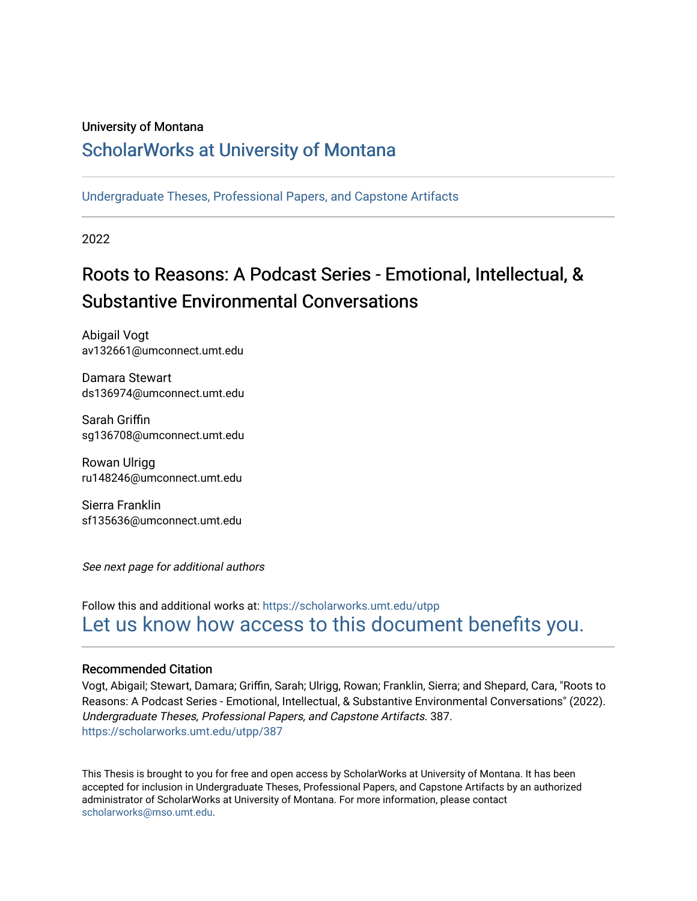#### University of Montana

# [ScholarWorks at University of Montana](https://scholarworks.umt.edu/)

[Undergraduate Theses, Professional Papers, and Capstone Artifacts](https://scholarworks.umt.edu/utpp)

2022

# Roots to Reasons: A Podcast Series - Emotional, Intellectual, & Substantive Environmental Conversations

Abigail Vogt av132661@umconnect.umt.edu

Damara Stewart ds136974@umconnect.umt.edu

Sarah Griffin sg136708@umconnect.umt.edu

Rowan Ulrigg ru148246@umconnect.umt.edu

Sierra Franklin sf135636@umconnect.umt.edu

See next page for additional authors

# Follow this and additional works at: [https://scholarworks.umt.edu/utpp](https://scholarworks.umt.edu/utpp?utm_source=scholarworks.umt.edu%2Futpp%2F387&utm_medium=PDF&utm_campaign=PDFCoverPages) [Let us know how access to this document benefits you.](https://goo.gl/forms/s2rGfXOLzz71qgsB2)

#### Recommended Citation

Vogt, Abigail; Stewart, Damara; Griffin, Sarah; Ulrigg, Rowan; Franklin, Sierra; and Shepard, Cara, "Roots to Reasons: A Podcast Series - Emotional, Intellectual, & Substantive Environmental Conversations" (2022). Undergraduate Theses, Professional Papers, and Capstone Artifacts. 387. [https://scholarworks.umt.edu/utpp/387](https://scholarworks.umt.edu/utpp/387?utm_source=scholarworks.umt.edu%2Futpp%2F387&utm_medium=PDF&utm_campaign=PDFCoverPages)

This Thesis is brought to you for free and open access by ScholarWorks at University of Montana. It has been accepted for inclusion in Undergraduate Theses, Professional Papers, and Capstone Artifacts by an authorized administrator of ScholarWorks at University of Montana. For more information, please contact [scholarworks@mso.umt.edu.](mailto:scholarworks@mso.umt.edu)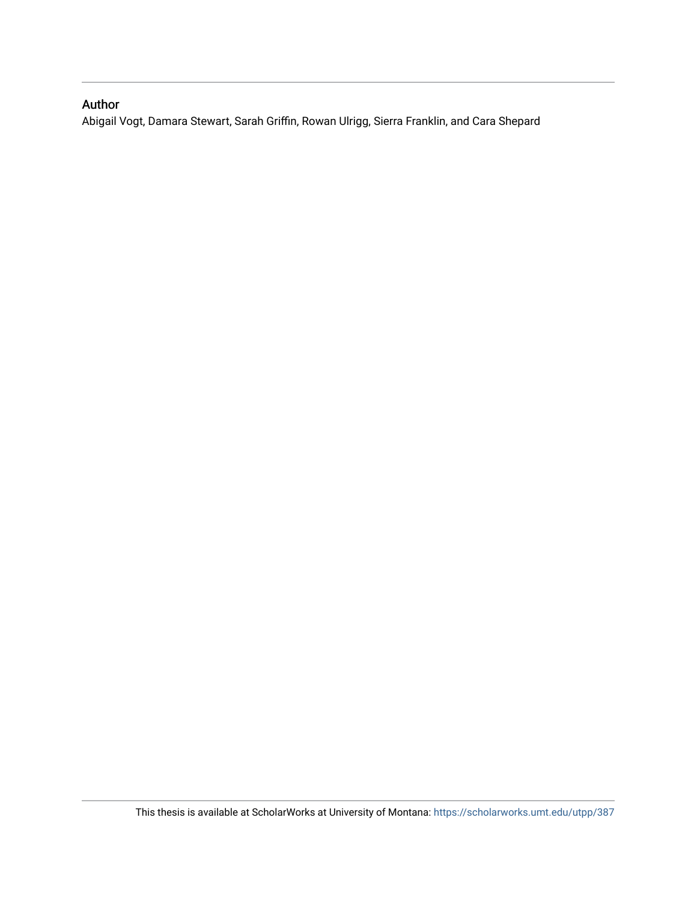# Author

Abigail Vogt, Damara Stewart, Sarah Griffin, Rowan Ulrigg, Sierra Franklin, and Cara Shepard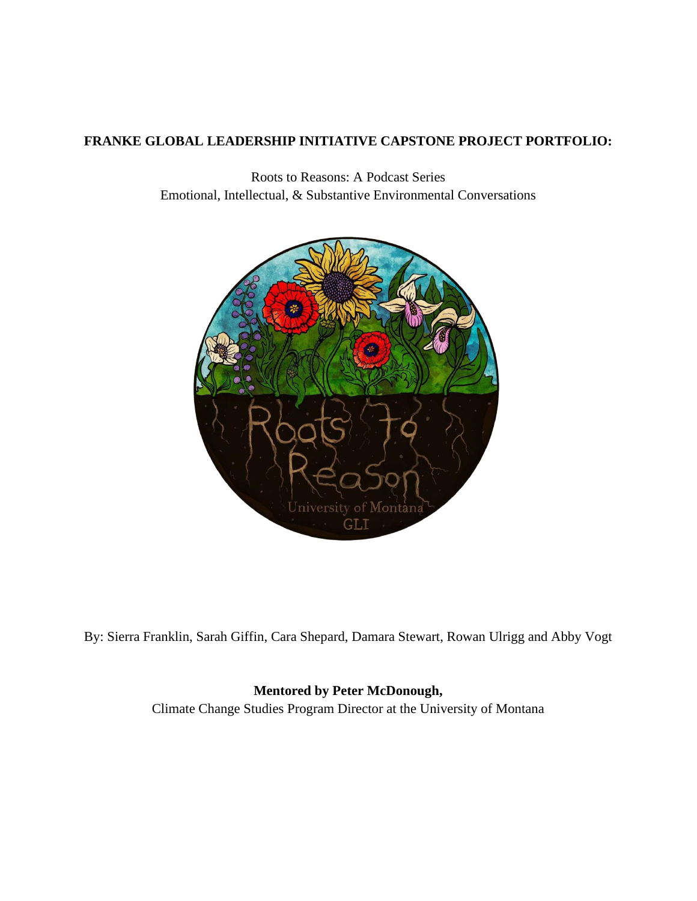# **FRANKE GLOBAL LEADERSHIP INITIATIVE CAPSTONE PROJECT PORTFOLIO:**

Roots to Reasons: A Podcast Series Emotional, Intellectual, & Substantive Environmental Conversations



By: Sierra Franklin, Sarah Giffin, Cara Shepard, Damara Stewart, Rowan Ulrigg and Abby Vogt

# **Mentored by Peter McDonough,**

Climate Change Studies Program Director at the University of Montana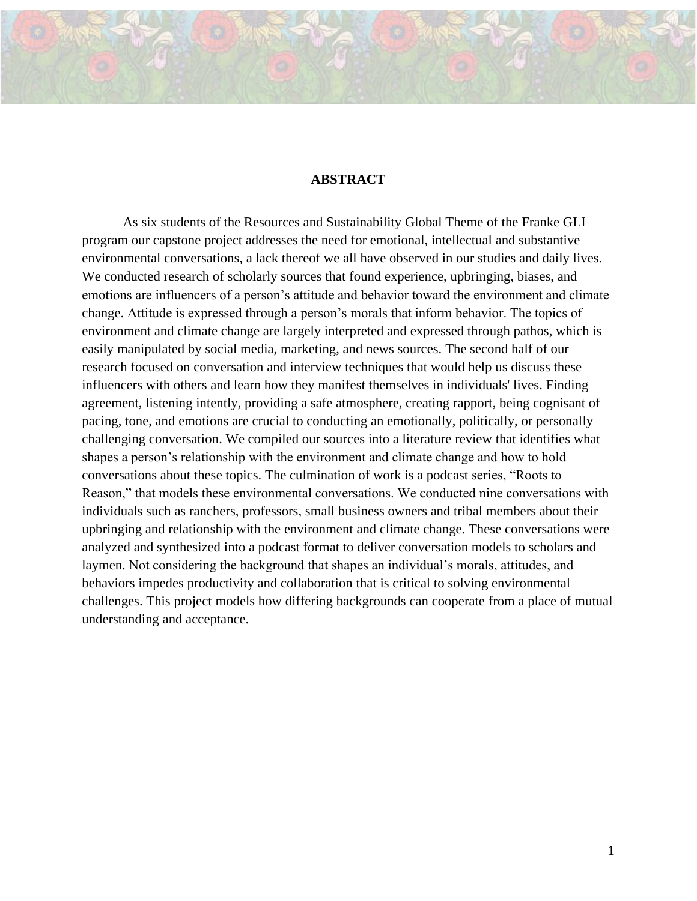#### **ABSTRACT**

As six students of the Resources and Sustainability Global Theme of the Franke GLI program our capstone project addresses the need for emotional, intellectual and substantive environmental conversations, a lack thereof we all have observed in our studies and daily lives. We conducted research of scholarly sources that found experience, upbringing, biases, and emotions are influencers of a person's attitude and behavior toward the environment and climate change. Attitude is expressed through a person's morals that inform behavior. The topics of environment and climate change are largely interpreted and expressed through pathos, which is easily manipulated by social media, marketing, and news sources. The second half of our research focused on conversation and interview techniques that would help us discuss these influencers with others and learn how they manifest themselves in individuals' lives. Finding agreement, listening intently, providing a safe atmosphere, creating rapport, being cognisant of pacing, tone, and emotions are crucial to conducting an emotionally, politically, or personally challenging conversation. We compiled our sources into a literature review that identifies what shapes a person's relationship with the environment and climate change and how to hold conversations about these topics. The culmination of work is a podcast series, "Roots to Reason," that models these environmental conversations. We conducted nine conversations with individuals such as ranchers, professors, small business owners and tribal members about their upbringing and relationship with the environment and climate change. These conversations were analyzed and synthesized into a podcast format to deliver conversation models to scholars and laymen. Not considering the background that shapes an individual's morals, attitudes, and behaviors impedes productivity and collaboration that is critical to solving environmental challenges. This project models how differing backgrounds can cooperate from a place of mutual understanding and acceptance.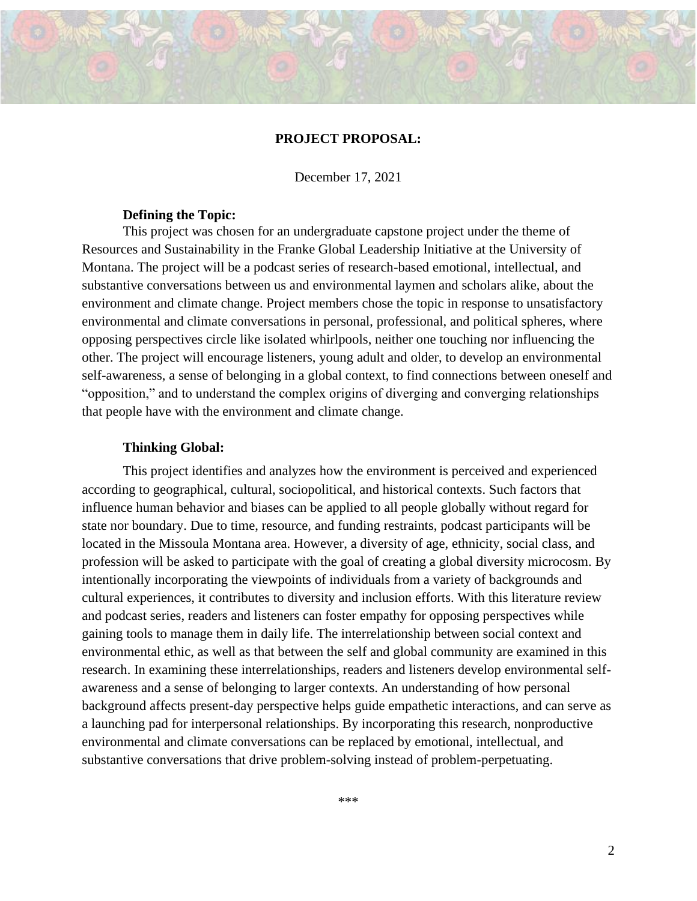#### **PROJECT PROPOSAL:**

December 17, 2021

#### **Defining the Topic:**

This project was chosen for an undergraduate capstone project under the theme of Resources and Sustainability in the Franke Global Leadership Initiative at the University of Montana. The project will be a podcast series of research-based emotional, intellectual, and substantive conversations between us and environmental laymen and scholars alike, about the environment and climate change. Project members chose the topic in response to unsatisfactory environmental and climate conversations in personal, professional, and political spheres, where opposing perspectives circle like isolated whirlpools, neither one touching nor influencing the other. The project will encourage listeners, young adult and older, to develop an environmental self-awareness, a sense of belonging in a global context, to find connections between oneself and "opposition," and to understand the complex origins of diverging and converging relationships that people have with the environment and climate change.

#### **Thinking Global:**

This project identifies and analyzes how the environment is perceived and experienced according to geographical, cultural, sociopolitical, and historical contexts. Such factors that influence human behavior and biases can be applied to all people globally without regard for state nor boundary. Due to time, resource, and funding restraints, podcast participants will be located in the Missoula Montana area. However, a diversity of age, ethnicity, social class, and profession will be asked to participate with the goal of creating a global diversity microcosm. By intentionally incorporating the viewpoints of individuals from a variety of backgrounds and cultural experiences, it contributes to diversity and inclusion efforts. With this literature review and podcast series, readers and listeners can foster empathy for opposing perspectives while gaining tools to manage them in daily life. The interrelationship between social context and environmental ethic, as well as that between the self and global community are examined in this research. In examining these interrelationships, readers and listeners develop environmental selfawareness and a sense of belonging to larger contexts. An understanding of how personal background affects present-day perspective helps guide empathetic interactions, and can serve as a launching pad for interpersonal relationships. By incorporating this research, nonproductive environmental and climate conversations can be replaced by emotional, intellectual, and substantive conversations that drive problem-solving instead of problem-perpetuating.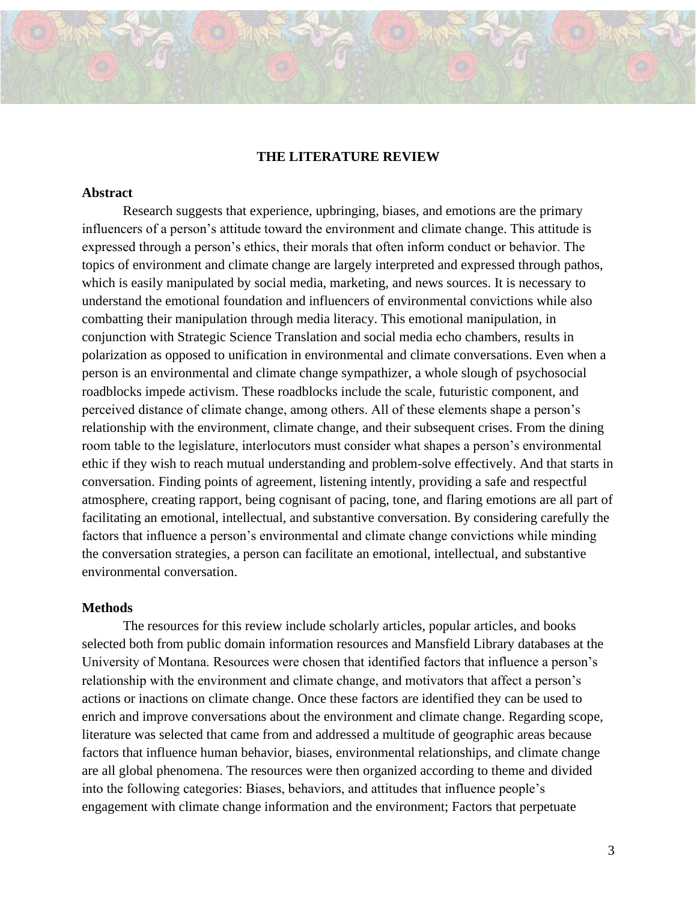# **THE LITERATURE REVIEW**

#### **Abstract**

Research suggests that experience, upbringing, biases, and emotions are the primary influencers of a person's attitude toward the environment and climate change. This attitude is expressed through a person's ethics, their morals that often inform conduct or behavior. The topics of environment and climate change are largely interpreted and expressed through pathos, which is easily manipulated by social media, marketing, and news sources. It is necessary to understand the emotional foundation and influencers of environmental convictions while also combatting their manipulation through media literacy. This emotional manipulation, in conjunction with Strategic Science Translation and social media echo chambers, results in polarization as opposed to unification in environmental and climate conversations. Even when a person is an environmental and climate change sympathizer, a whole slough of psychosocial roadblocks impede activism. These roadblocks include the scale, futuristic component, and perceived distance of climate change, among others. All of these elements shape a person's relationship with the environment, climate change, and their subsequent crises. From the dining room table to the legislature, interlocutors must consider what shapes a person's environmental ethic if they wish to reach mutual understanding and problem-solve effectively. And that starts in conversation. Finding points of agreement, listening intently, providing a safe and respectful atmosphere, creating rapport, being cognisant of pacing, tone, and flaring emotions are all part of facilitating an emotional, intellectual, and substantive conversation. By considering carefully the factors that influence a person's environmental and climate change convictions while minding the conversation strategies, a person can facilitate an emotional, intellectual, and substantive environmental conversation.

#### **Methods**

The resources for this review include scholarly articles, popular articles, and books selected both from public domain information resources and Mansfield Library databases at the University of Montana. Resources were chosen that identified factors that influence a person's relationship with the environment and climate change, and motivators that affect a person's actions or inactions on climate change. Once these factors are identified they can be used to enrich and improve conversations about the environment and climate change. Regarding scope, literature was selected that came from and addressed a multitude of geographic areas because factors that influence human behavior, biases, environmental relationships, and climate change are all global phenomena. The resources were then organized according to theme and divided into the following categories: Biases, behaviors, and attitudes that influence people's engagement with climate change information and the environment; Factors that perpetuate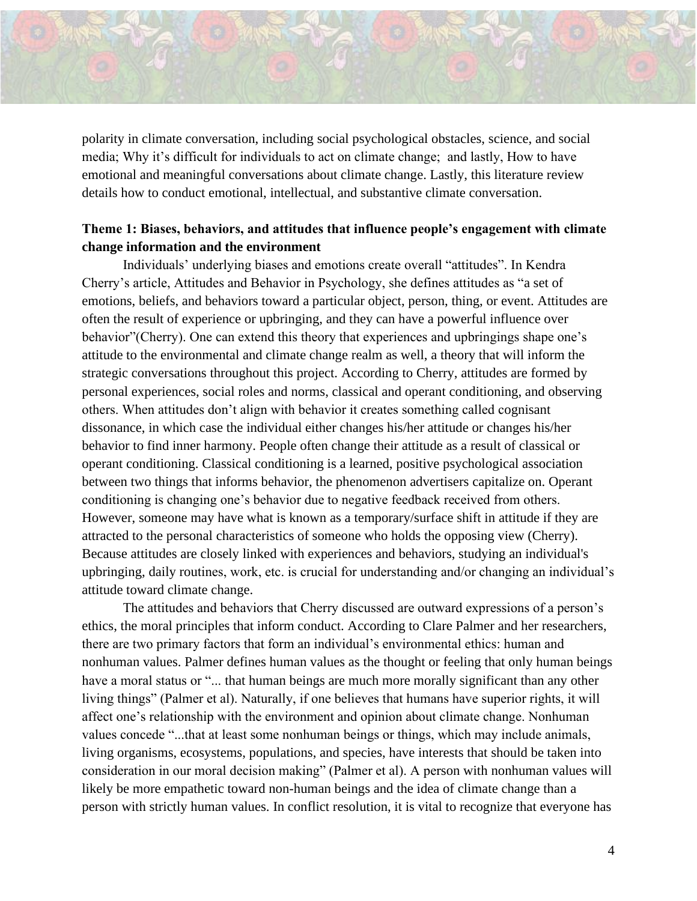

polarity in climate conversation, including social psychological obstacles, science, and social media; Why it's difficult for individuals to act on climate change; and lastly, How to have emotional and meaningful conversations about climate change. Lastly, this literature review details how to conduct emotional, intellectual, and substantive climate conversation.

# **Theme 1: Biases, behaviors, and attitudes that influence people's engagement with climate change information and the environment**

Individuals' underlying biases and emotions create overall "attitudes". In Kendra Cherry's article, Attitudes and Behavior in Psychology, she defines attitudes as "a set of emotions, beliefs, and behaviors toward a particular object, person, thing, or event. Attitudes are often the result of experience or upbringing, and they can have a powerful influence over behavior"(Cherry). One can extend this theory that experiences and upbringings shape one's attitude to the environmental and climate change realm as well, a theory that will inform the strategic conversations throughout this project. According to Cherry, attitudes are formed by personal experiences, social roles and norms, classical and operant conditioning, and observing others. When attitudes don't align with behavior it creates something called cognisant dissonance, in which case the individual either changes his/her attitude or changes his/her behavior to find inner harmony. People often change their attitude as a result of classical or operant conditioning. Classical conditioning is a learned, positive psychological association between two things that informs behavior, the phenomenon advertisers capitalize on. Operant conditioning is changing one's behavior due to negative feedback received from others. However, someone may have what is known as a temporary/surface shift in attitude if they are attracted to the personal characteristics of someone who holds the opposing view (Cherry). Because attitudes are closely linked with experiences and behaviors, studying an individual's upbringing, daily routines, work, etc. is crucial for understanding and/or changing an individual's attitude toward climate change.

The attitudes and behaviors that Cherry discussed are outward expressions of a person's ethics, the moral principles that inform conduct. According to Clare Palmer and her researchers, there are two primary factors that form an individual's environmental ethics: human and nonhuman values. Palmer defines human values as the thought or feeling that only human beings have a moral status or "... that human beings are much more morally significant than any other living things" (Palmer et al). Naturally, if one believes that humans have superior rights, it will affect one's relationship with the environment and opinion about climate change. Nonhuman values concede "...that at least some nonhuman beings or things, which may include animals, living organisms, ecosystems, populations, and species, have interests that should be taken into consideration in our moral decision making" (Palmer et al). A person with nonhuman values will likely be more empathetic toward non-human beings and the idea of climate change than a person with strictly human values. In conflict resolution, it is vital to recognize that everyone has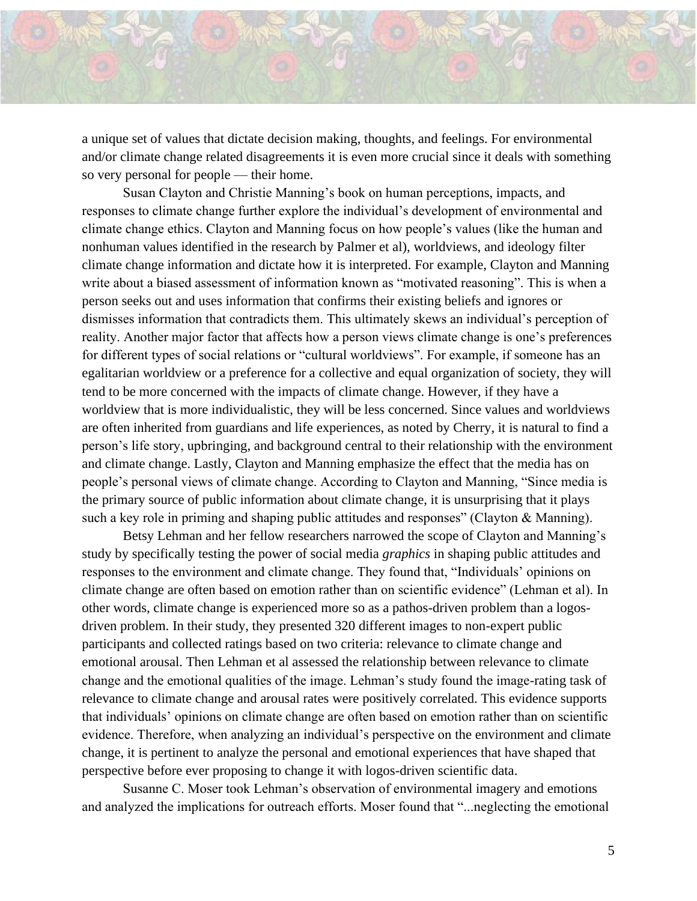

a unique set of values that dictate decision making, thoughts, and feelings. For environmental and/or climate change related disagreements it is even more crucial since it deals with something so very personal for people — their home.

Susan Clayton and Christie Manning's book on human perceptions, impacts, and responses to climate change further explore the individual's development of environmental and climate change ethics. Clayton and Manning focus on how people's values (like the human and nonhuman values identified in the research by Palmer et al), worldviews, and ideology filter climate change information and dictate how it is interpreted. For example, Clayton and Manning write about a biased assessment of information known as "motivated reasoning". This is when a person seeks out and uses information that confirms their existing beliefs and ignores or dismisses information that contradicts them. This ultimately skews an individual's perception of reality. Another major factor that affects how a person views climate change is one's preferences for different types of social relations or "cultural worldviews". For example, if someone has an egalitarian worldview or a preference for a collective and equal organization of society, they will tend to be more concerned with the impacts of climate change. However, if they have a worldview that is more individualistic, they will be less concerned. Since values and worldviews are often inherited from guardians and life experiences, as noted by Cherry, it is natural to find a person's life story, upbringing, and background central to their relationship with the environment and climate change. Lastly, Clayton and Manning emphasize the effect that the media has on people's personal views of climate change. According to Clayton and Manning, "Since media is the primary source of public information about climate change, it is unsurprising that it plays such a key role in priming and shaping public attitudes and responses" (Clayton & Manning).

Betsy Lehman and her fellow researchers narrowed the scope of Clayton and Manning's study by specifically testing the power of social media *graphics* in shaping public attitudes and responses to the environment and climate change. They found that, "Individuals' opinions on climate change are often based on emotion rather than on scientific evidence" (Lehman et al). In other words, climate change is experienced more so as a pathos-driven problem than a logosdriven problem. In their study, they presented 320 different images to non-expert public participants and collected ratings based on two criteria: relevance to climate change and emotional arousal. Then Lehman et al assessed the relationship between relevance to climate change and the emotional qualities of the image. Lehman's study found the image-rating task of relevance to climate change and arousal rates were positively correlated. This evidence supports that individuals' opinions on climate change are often based on emotion rather than on scientific evidence. Therefore, when analyzing an individual's perspective on the environment and climate change, it is pertinent to analyze the personal and emotional experiences that have shaped that perspective before ever proposing to change it with logos-driven scientific data.

Susanne C. Moser took Lehman's observation of environmental imagery and emotions and analyzed the implications for outreach efforts. Moser found that "...neglecting the emotional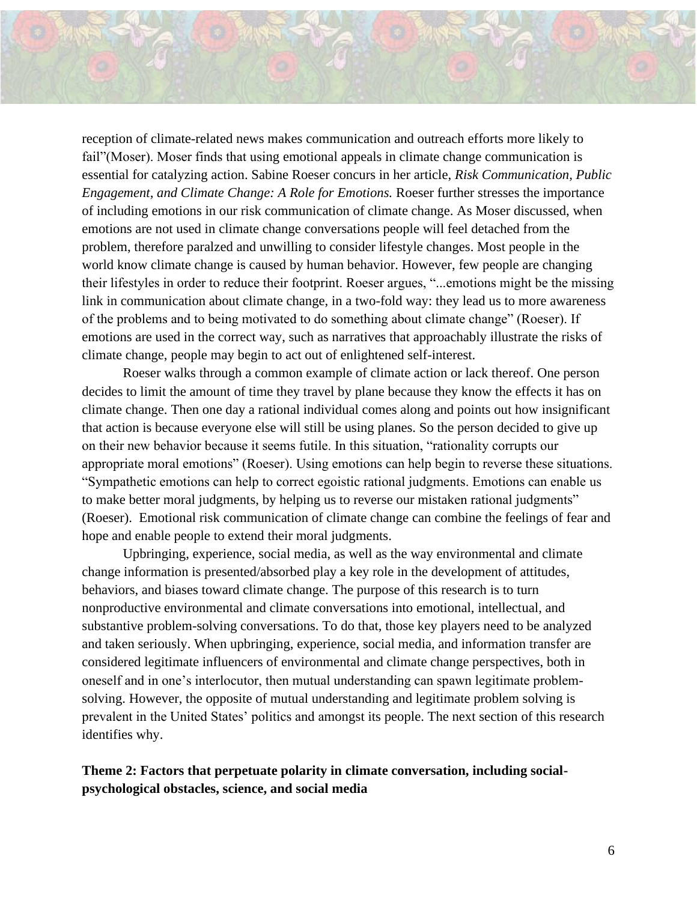reception of climate-related news makes communication and outreach efforts more likely to fail"(Moser). Moser finds that using emotional appeals in climate change communication is essential for catalyzing action. Sabine Roeser concurs in her article, *Risk Communication, Public Engagement, and Climate Change: A Role for Emotions.* Roeser further stresses the importance of including emotions in our risk communication of climate change. As Moser discussed, when emotions are not used in climate change conversations people will feel detached from the problem, therefore paralzed and unwilling to consider lifestyle changes. Most people in the world know climate change is caused by human behavior. However, few people are changing their lifestyles in order to reduce their footprint. Roeser argues, "...emotions might be the missing link in communication about climate change, in a two-fold way: they lead us to more awareness of the problems and to being motivated to do something about climate change" (Roeser). If emotions are used in the correct way, such as narratives that approachably illustrate the risks of climate change, people may begin to act out of enlightened self-interest.

Roeser walks through a common example of climate action or lack thereof. One person decides to limit the amount of time they travel by plane because they know the effects it has on climate change. Then one day a rational individual comes along and points out how insignificant that action is because everyone else will still be using planes. So the person decided to give up on their new behavior because it seems futile. In this situation, "rationality corrupts our appropriate moral emotions" (Roeser). Using emotions can help begin to reverse these situations. "Sympathetic emotions can help to correct egoistic rational judgments. Emotions can enable us to make better moral judgments, by helping us to reverse our mistaken rational judgments" (Roeser). Emotional risk communication of climate change can combine the feelings of fear and hope and enable people to extend their moral judgments.

Upbringing, experience, social media, as well as the way environmental and climate change information is presented/absorbed play a key role in the development of attitudes, behaviors, and biases toward climate change. The purpose of this research is to turn nonproductive environmental and climate conversations into emotional, intellectual, and substantive problem-solving conversations. To do that, those key players need to be analyzed and taken seriously. When upbringing, experience, social media, and information transfer are considered legitimate influencers of environmental and climate change perspectives, both in oneself and in one's interlocutor, then mutual understanding can spawn legitimate problemsolving. However, the opposite of mutual understanding and legitimate problem solving is prevalent in the United States' politics and amongst its people. The next section of this research identifies why.

**Theme 2: Factors that perpetuate polarity in climate conversation, including socialpsychological obstacles, science, and social media**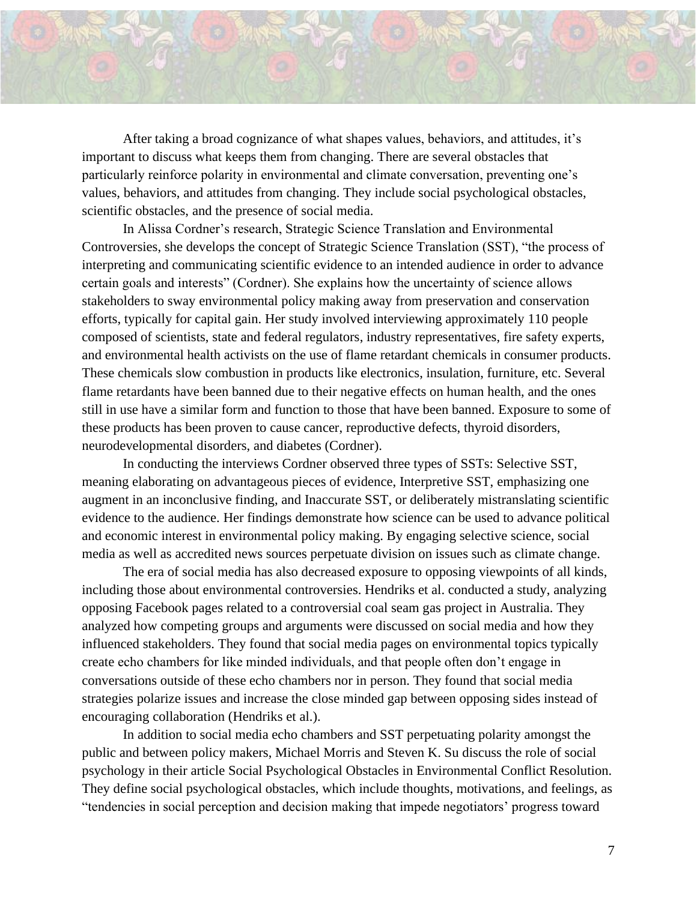

After taking a broad cognizance of what shapes values, behaviors, and attitudes, it's important to discuss what keeps them from changing. There are several obstacles that particularly reinforce polarity in environmental and climate conversation, preventing one's values, behaviors, and attitudes from changing. They include social psychological obstacles, scientific obstacles, and the presence of social media.

In Alissa Cordner's research, Strategic Science Translation and Environmental Controversies, she develops the concept of Strategic Science Translation (SST), "the process of interpreting and communicating scientific evidence to an intended audience in order to advance certain goals and interests" (Cordner). She explains how the uncertainty of science allows stakeholders to sway environmental policy making away from preservation and conservation efforts, typically for capital gain. Her study involved interviewing approximately 110 people composed of scientists, state and federal regulators, industry representatives, fire safety experts, and environmental health activists on the use of flame retardant chemicals in consumer products. These chemicals slow combustion in products like electronics, insulation, furniture, etc. Several flame retardants have been banned due to their negative effects on human health, and the ones still in use have a similar form and function to those that have been banned. Exposure to some of these products has been proven to cause cancer, reproductive defects, thyroid disorders, neurodevelopmental disorders, and diabetes (Cordner).

In conducting the interviews Cordner observed three types of SSTs: Selective SST, meaning elaborating on advantageous pieces of evidence, Interpretive SST, emphasizing one augment in an inconclusive finding, and Inaccurate SST, or deliberately mistranslating scientific evidence to the audience. Her findings demonstrate how science can be used to advance political and economic interest in environmental policy making. By engaging selective science, social media as well as accredited news sources perpetuate division on issues such as climate change.

The era of social media has also decreased exposure to opposing viewpoints of all kinds, including those about environmental controversies. Hendriks et al. conducted a study, analyzing opposing Facebook pages related to a controversial coal seam gas project in Australia. They analyzed how competing groups and arguments were discussed on social media and how they influenced stakeholders. They found that social media pages on environmental topics typically create echo chambers for like minded individuals, and that people often don't engage in conversations outside of these echo chambers nor in person. They found that social media strategies polarize issues and increase the close minded gap between opposing sides instead of encouraging collaboration (Hendriks et al.).

In addition to social media echo chambers and SST perpetuating polarity amongst the public and between policy makers, Michael Morris and Steven K. Su discuss the role of social psychology in their article Social Psychological Obstacles in Environmental Conflict Resolution. They define social psychological obstacles, which include thoughts, motivations, and feelings, as "tendencies in social perception and decision making that impede negotiators' progress toward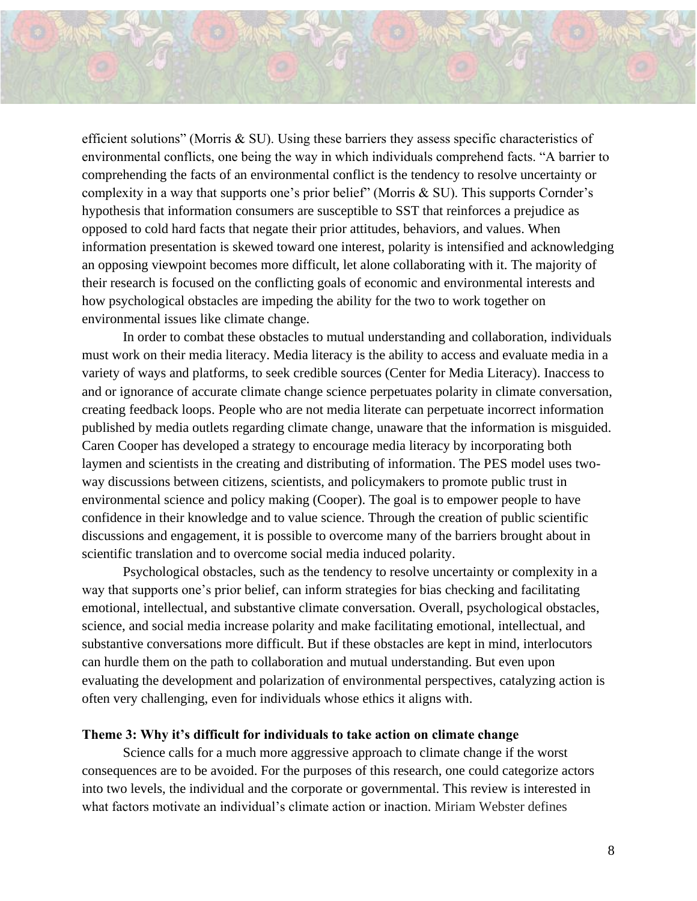efficient solutions" (Morris & SU). Using these barriers they assess specific characteristics of environmental conflicts, one being the way in which individuals comprehend facts. "A barrier to comprehending the facts of an environmental conflict is the tendency to resolve uncertainty or complexity in a way that supports one's prior belief" (Morris & SU). This supports Cornder's hypothesis that information consumers are susceptible to SST that reinforces a prejudice as opposed to cold hard facts that negate their prior attitudes, behaviors, and values. When information presentation is skewed toward one interest, polarity is intensified and acknowledging an opposing viewpoint becomes more difficult, let alone collaborating with it. The majority of their research is focused on the conflicting goals of economic and environmental interests and how psychological obstacles are impeding the ability for the two to work together on environmental issues like climate change.

In order to combat these obstacles to mutual understanding and collaboration, individuals must work on their media literacy. Media literacy is the ability to access and evaluate media in a variety of ways and platforms, to seek credible sources (Center for Media Literacy). Inaccess to and or ignorance of accurate climate change science perpetuates polarity in climate conversation, creating feedback loops. People who are not media literate can perpetuate incorrect information published by media outlets regarding climate change, unaware that the information is misguided. Caren Cooper has developed a strategy to encourage media literacy by incorporating both laymen and scientists in the creating and distributing of information. The PES model uses twoway discussions between citizens, scientists, and policymakers to promote public trust in environmental science and policy making (Cooper). The goal is to empower people to have confidence in their knowledge and to value science. Through the creation of public scientific discussions and engagement, it is possible to overcome many of the barriers brought about in scientific translation and to overcome social media induced polarity.

Psychological obstacles, such as the tendency to resolve uncertainty or complexity in a way that supports one's prior belief, can inform strategies for bias checking and facilitating emotional, intellectual, and substantive climate conversation. Overall, psychological obstacles, science, and social media increase polarity and make facilitating emotional, intellectual, and substantive conversations more difficult. But if these obstacles are kept in mind, interlocutors can hurdle them on the path to collaboration and mutual understanding. But even upon evaluating the development and polarization of environmental perspectives, catalyzing action is often very challenging, even for individuals whose ethics it aligns with.

#### **Theme 3: Why it's difficult for individuals to take action on climate change**

Science calls for a much more aggressive approach to climate change if the worst consequences are to be avoided. For the purposes of this research, one could categorize actors into two levels, the individual and the corporate or governmental. This review is interested in what factors motivate an individual's climate action or inaction. Miriam Webster defines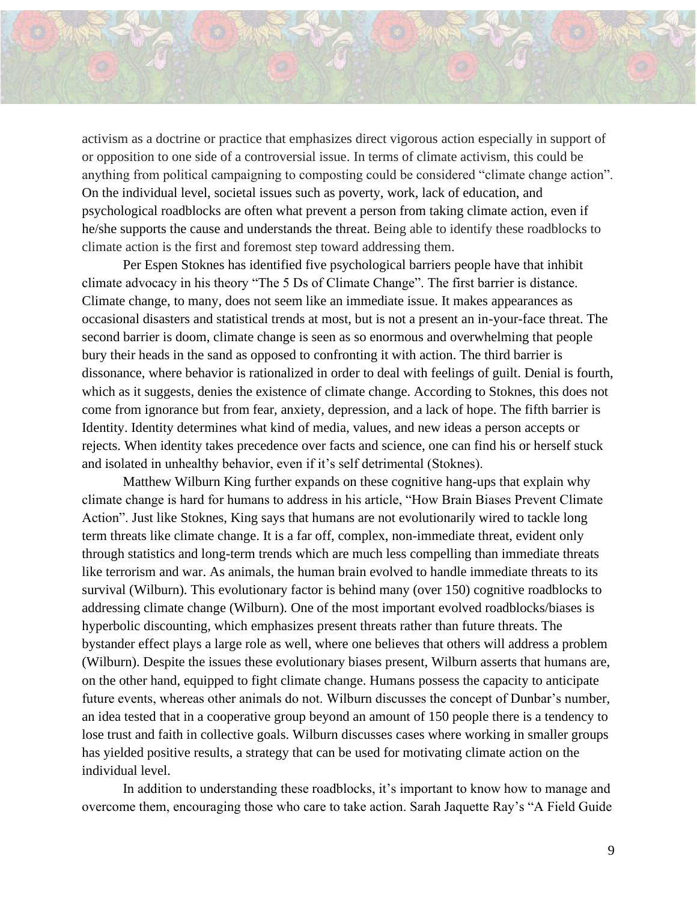

activism as a doctrine or practice that emphasizes direct vigorous [action](https://www.merriam-webster.com/dictionary/action) especially in support of or opposition to one side of a controversial issue. In terms of climate activism, this could be anything from political campaigning to composting could be considered "climate change action". On the individual level, societal issues such as poverty, work, lack of education, and psychological roadblocks are often what prevent a person from taking climate action, even if he/she supports the cause and understands the threat. Being able to identify these roadblocks to climate action is the first and foremost step toward addressing them.

Per Espen Stoknes has identified five psychological barriers people have that inhibit climate advocacy in his theory "The 5 Ds of Climate Change". The first barrier is distance. Climate change, to many, does not seem like an immediate issue. It makes appearances as occasional disasters and statistical trends at most, but is not a present an in-your-face threat. The second barrier is doom, climate change is seen as so enormous and overwhelming that people bury their heads in the sand as opposed to confronting it with action. The third barrier is dissonance, where behavior is rationalized in order to deal with feelings of guilt. Denial is fourth, which as it suggests, denies the existence of climate change. According to Stoknes, this does not come from ignorance but from fear, anxiety, depression, and a lack of hope. The fifth barrier is Identity. Identity determines what kind of media, values, and new ideas a person accepts or rejects. When identity takes precedence over facts and science, one can find his or herself stuck and isolated in unhealthy behavior, even if it's self detrimental (Stoknes).

Matthew Wilburn King further expands on these cognitive hang-ups that explain why climate change is hard for humans to address in his article, "How Brain Biases Prevent Climate Action". Just like Stoknes, King says that humans are not evolutionarily wired to tackle long term threats like climate change. It is a far off, complex, non-immediate threat, evident only through statistics and long-term trends which are much less compelling than immediate threats like terrorism and war. As animals, the human brain evolved to handle immediate threats to its survival (Wilburn). This evolutionary factor is behind many (over 150) cognitive roadblocks to addressing climate change (Wilburn). One of the most important evolved roadblocks/biases is hyperbolic discounting, which emphasizes present threats rather than future threats. The bystander effect plays a large role as well, where one believes that others will address a problem (Wilburn). Despite the issues these evolutionary biases present, Wilburn asserts that humans are, on the other hand, equipped to fight climate change. Humans possess the capacity to anticipate future events, whereas other animals do not. Wilburn discusses the concept of Dunbar's number, an idea tested that in a cooperative group beyond an amount of 150 people there is a tendency to lose trust and faith in collective goals. Wilburn discusses cases where working in smaller groups has yielded positive results, a strategy that can be used for motivating climate action on the individual level.

In addition to understanding these roadblocks, it's important to know how to manage and overcome them, encouraging those who care to take action. Sarah Jaquette Ray's "A Field Guide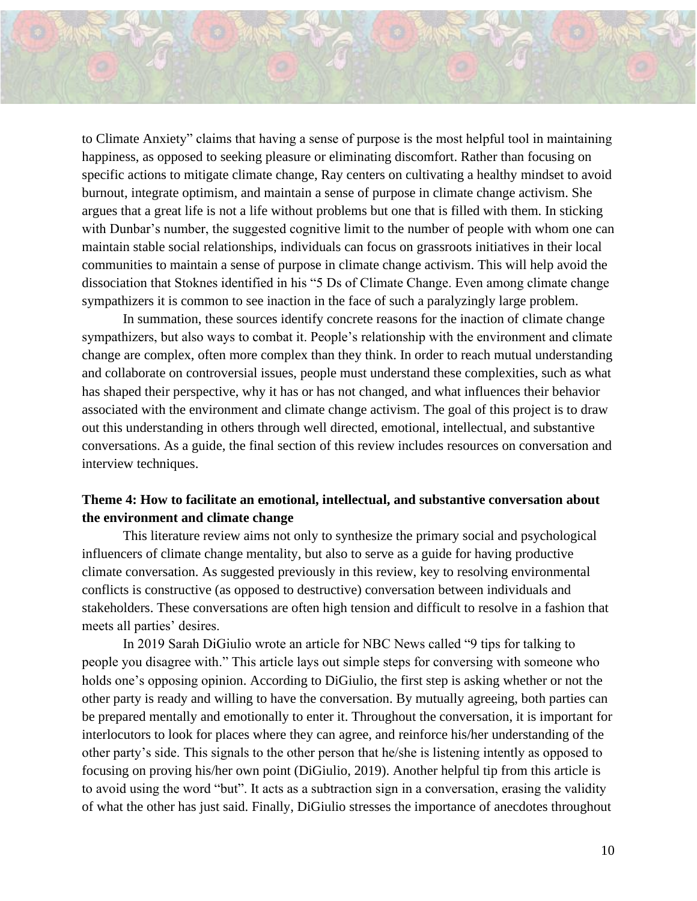to Climate Anxiety" claims that having a sense of purpose is the most helpful tool in maintaining happiness, as opposed to seeking pleasure or eliminating discomfort. Rather than focusing on specific actions to mitigate climate change, Ray centers on cultivating a healthy mindset to avoid burnout, integrate optimism, and maintain a sense of purpose in climate change activism. She argues that a great life is not a life without problems but one that is filled with them. In sticking with Dunbar's number, the suggested cognitive limit to the number of people with whom one can maintain stable social relationships, individuals can focus on grassroots initiatives in their local communities to maintain a sense of purpose in climate change activism. This will help avoid the dissociation that Stoknes identified in his "5 Ds of Climate Change. Even among climate change sympathizers it is common to see inaction in the face of such a paralyzingly large problem.

In summation, these sources identify concrete reasons for the inaction of climate change sympathizers, but also ways to combat it. People's relationship with the environment and climate change are complex, often more complex than they think. In order to reach mutual understanding and collaborate on controversial issues, people must understand these complexities, such as what has shaped their perspective, why it has or has not changed, and what influences their behavior associated with the environment and climate change activism. The goal of this project is to draw out this understanding in others through well directed, emotional, intellectual, and substantive conversations. As a guide, the final section of this review includes resources on conversation and interview techniques.

# **Theme 4: How to facilitate an emotional, intellectual, and substantive conversation about the environment and climate change**

This literature review aims not only to synthesize the primary social and psychological influencers of climate change mentality, but also to serve as a guide for having productive climate conversation. As suggested previously in this review, key to resolving environmental conflicts is constructive (as opposed to destructive) conversation between individuals and stakeholders. These conversations are often high tension and difficult to resolve in a fashion that meets all parties' desires.

In 2019 Sarah DiGiulio wrote an article for NBC News called "9 tips for talking to people you disagree with." This article lays out simple steps for conversing with someone who holds one's opposing opinion. According to DiGiulio, the first step is asking whether or not the other party is ready and willing to have the conversation. By mutually agreeing, both parties can be prepared mentally and emotionally to enter it. Throughout the conversation, it is important for interlocutors to look for places where they can agree, and reinforce his/her understanding of the other party's side. This signals to the other person that he/she is listening intently as opposed to focusing on proving his/her own point (DiGiulio, 2019). Another helpful tip from this article is to avoid using the word "but". It acts as a subtraction sign in a conversation, erasing the validity of what the other has just said. Finally, DiGiulio stresses the importance of anecdotes throughout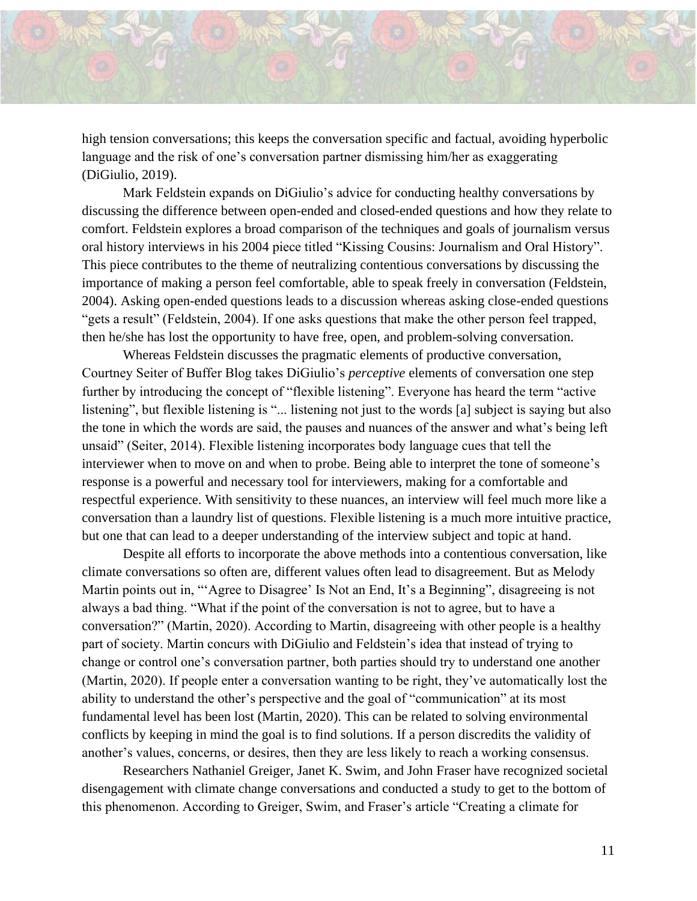

high tension conversations; this keeps the conversation specific and factual, avoiding hyperbolic language and the risk of one's conversation partner dismissing him/her as exaggerating (DiGiulio, 2019).

Mark Feldstein expands on DiGiulio's advice for conducting healthy conversations by discussing the difference between open-ended and closed-ended questions and how they relate to comfort. Feldstein explores a broad comparison of the techniques and goals of journalism versus oral history interviews in his 2004 piece titled "Kissing Cousins: Journalism and Oral History". This piece contributes to the theme of neutralizing contentious conversations by discussing the importance of making a person feel comfortable, able to speak freely in conversation (Feldstein, 2004). Asking open-ended questions leads to a discussion whereas asking close-ended questions "gets a result" (Feldstein, 2004). If one asks questions that make the other person feel trapped, then he/she has lost the opportunity to have free, open, and problem-solving conversation.

Whereas Feldstein discusses the pragmatic elements of productive conversation, Courtney Seiter of Buffer Blog takes DiGiulio's *perceptive* elements of conversation one step further by introducing the concept of "flexible listening". Everyone has heard the term "active listening", but flexible listening is "... listening not just to the words [a] subject is saying but also the tone in which the words are said, the pauses and nuances of the answer and what's being left unsaid" (Seiter, 2014). Flexible listening incorporates body language cues that tell the interviewer when to move on and when to probe. Being able to interpret the tone of someone's response is a powerful and necessary tool for interviewers, making for a comfortable and respectful experience. With sensitivity to these nuances, an interview will feel much more like a conversation than a laundry list of questions. Flexible listening is a much more intuitive practice, but one that can lead to a deeper understanding of the interview subject and topic at hand.

Despite all efforts to incorporate the above methods into a contentious conversation, like climate conversations so often are, different values often lead to disagreement. But as Melody Martin points out in, "ʻAgree to Disagree' Is Not an End, It's a Beginning", disagreeing is not always a bad thing. "What if the point of the conversation is not to agree, but to have a conversation?" (Martin, 2020). According to Martin, disagreeing with other people is a healthy part of society. Martin concurs with DiGiulio and Feldstein's idea that instead of trying to change or control one's conversation partner, both parties should try to understand one another (Martin, 2020). If people enter a conversation wanting to be right, they've automatically lost the ability to understand the other's perspective and the goal of "communication" at its most fundamental level has been lost (Martin, 2020). This can be related to solving environmental conflicts by keeping in mind the goal is to find solutions. If a person discredits the validity of another's values, concerns, or desires, then they are less likely to reach a working consensus.

Researchers Nathaniel Greiger, Janet K. Swim, and John Fraser have recognized societal disengagement with climate change conversations and conducted a study to get to the bottom of this phenomenon. According to Greiger, Swim, and Fraser's article "Creating a climate for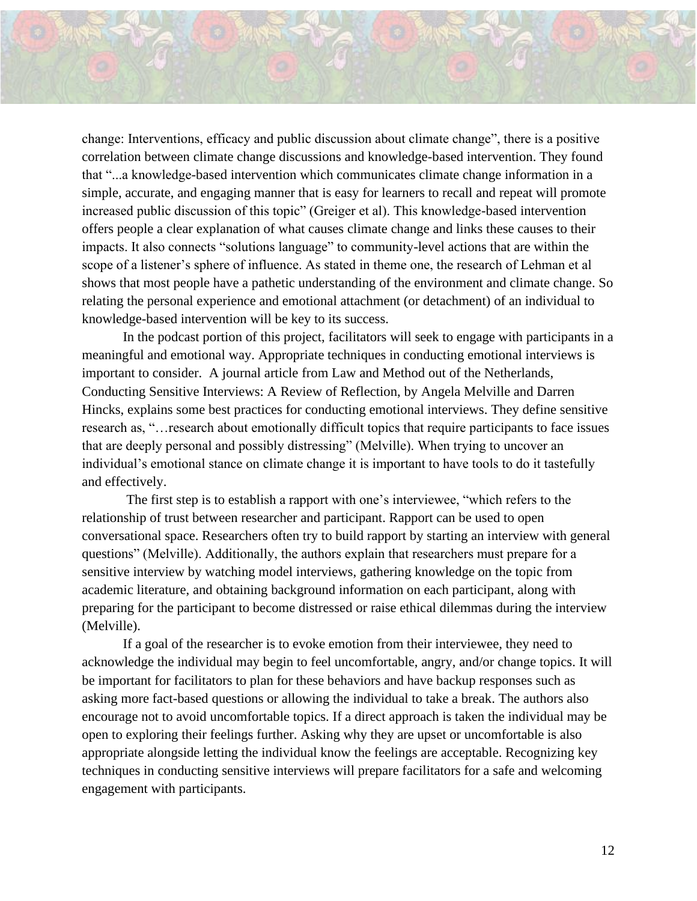change: Interventions, efficacy and public discussion about climate change", there is a positive correlation between climate change discussions and knowledge-based intervention. They found that "...a knowledge-based intervention which communicates climate change information in a simple, accurate, and engaging manner that is easy for learners to recall and repeat will promote increased public discussion of this topic" (Greiger et al). This knowledge-based intervention offers people a clear explanation of what causes climate change and links these causes to their impacts. It also connects "solutions language" to community-level actions that are within the scope of a listener's sphere of influence. As stated in theme one, the research of Lehman et al shows that most people have a pathetic understanding of the environment and climate change. So relating the personal experience and emotional attachment (or detachment) of an individual to knowledge-based intervention will be key to its success.

In the podcast portion of this project, facilitators will seek to engage with participants in a meaningful and emotional way. Appropriate techniques in conducting emotional interviews is important to consider. A journal article from Law and Method out of the Netherlands, Conducting Sensitive Interviews: A Review of Reflection, by Angela Melville and Darren Hincks, explains some best practices for conducting emotional interviews. They define sensitive research as, "…research about emotionally difficult topics that require participants to face issues that are deeply personal and possibly distressing" (Melville). When trying to uncover an individual's emotional stance on climate change it is important to have tools to do it tastefully and effectively.

The first step is to establish a rapport with one's interviewee, "which refers to the relationship of trust between researcher and participant. Rapport can be used to open conversational space. Researchers often try to build rapport by starting an interview with general questions" (Melville). Additionally, the authors explain that researchers must prepare for a sensitive interview by watching model interviews, gathering knowledge on the topic from academic literature, and obtaining background information on each participant, along with preparing for the participant to become distressed or raise ethical dilemmas during the interview (Melville).

If a goal of the researcher is to evoke emotion from their interviewee, they need to acknowledge the individual may begin to feel uncomfortable, angry, and/or change topics. It will be important for facilitators to plan for these behaviors and have backup responses such as asking more fact-based questions or allowing the individual to take a break. The authors also encourage not to avoid uncomfortable topics. If a direct approach is taken the individual may be open to exploring their feelings further. Asking why they are upset or uncomfortable is also appropriate alongside letting the individual know the feelings are acceptable. Recognizing key techniques in conducting sensitive interviews will prepare facilitators for a safe and welcoming engagement with participants.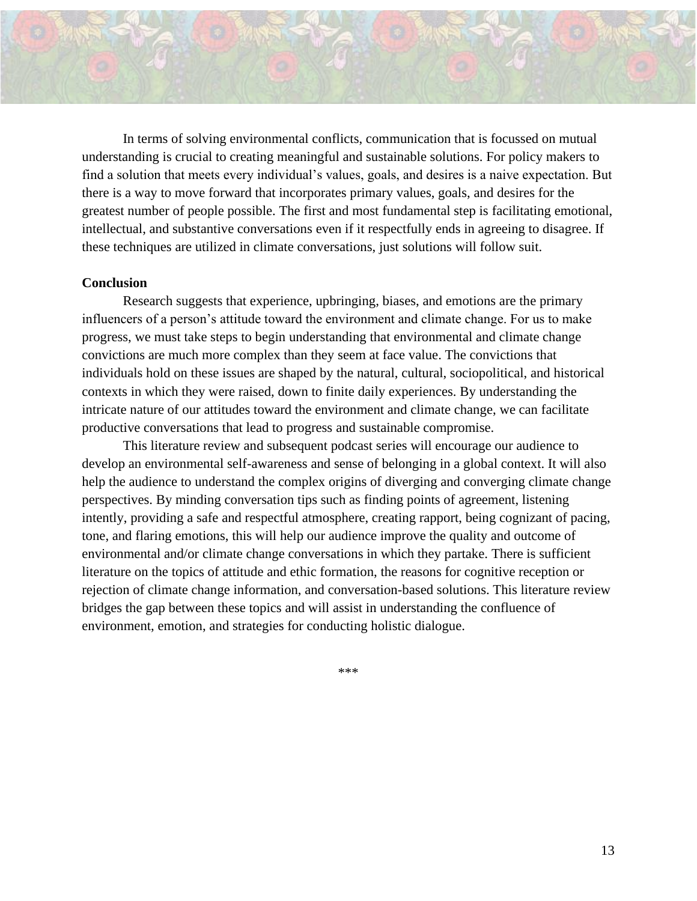

In terms of solving environmental conflicts, communication that is focussed on mutual understanding is crucial to creating meaningful and sustainable solutions. For policy makers to find a solution that meets every individual's values, goals, and desires is a naive expectation. But there is a way to move forward that incorporates primary values, goals, and desires for the greatest number of people possible. The first and most fundamental step is facilitating emotional, intellectual, and substantive conversations even if it respectfully ends in agreeing to disagree. If these techniques are utilized in climate conversations, just solutions will follow suit.

#### **Conclusion**

Research suggests that experience, upbringing, biases, and emotions are the primary influencers of a person's attitude toward the environment and climate change. For us to make progress, we must take steps to begin understanding that environmental and climate change convictions are much more complex than they seem at face value. The convictions that individuals hold on these issues are shaped by the natural, cultural, sociopolitical, and historical contexts in which they were raised, down to finite daily experiences. By understanding the intricate nature of our attitudes toward the environment and climate change, we can facilitate productive conversations that lead to progress and sustainable compromise.

This literature review and subsequent podcast series will encourage our audience to develop an environmental self-awareness and sense of belonging in a global context. It will also help the audience to understand the complex origins of diverging and converging climate change perspectives. By minding conversation tips such as finding points of agreement, listening intently, providing a safe and respectful atmosphere, creating rapport, being cognizant of pacing, tone, and flaring emotions, this will help our audience improve the quality and outcome of environmental and/or climate change conversations in which they partake. There is sufficient literature on the topics of attitude and ethic formation, the reasons for cognitive reception or rejection of climate change information, and conversation-based solutions. This literature review bridges the gap between these topics and will assist in understanding the confluence of environment, emotion, and strategies for conducting holistic dialogue.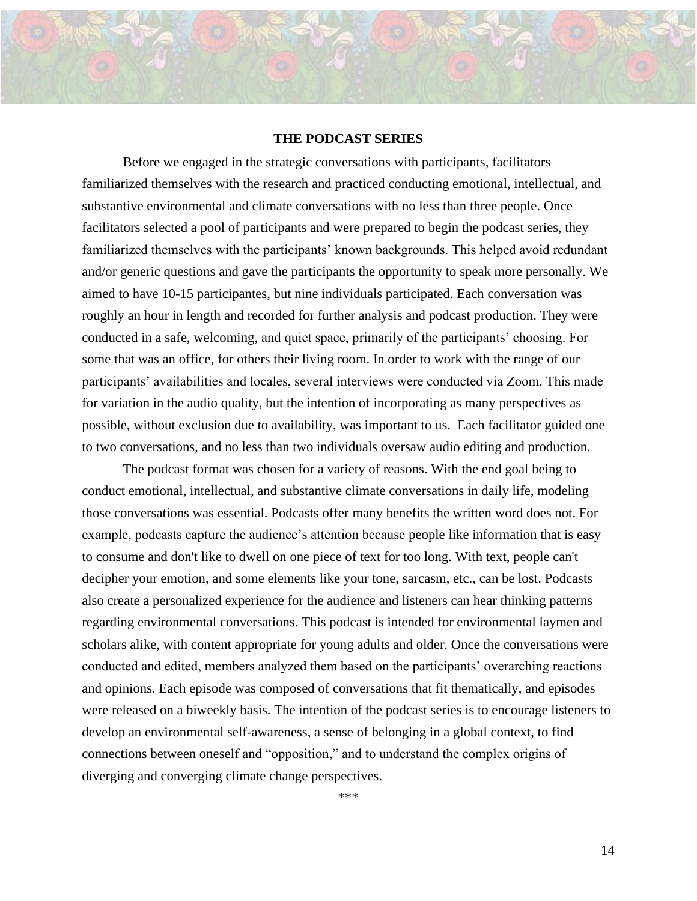#### **THE PODCAST SERIES**

Before we engaged in the strategic conversations with participants, facilitators familiarized themselves with the research and practiced conducting emotional, intellectual, and substantive environmental and climate conversations with no less than three people. Once facilitators selected a pool of participants and were prepared to begin the podcast series, they familiarized themselves with the participants' known backgrounds. This helped avoid redundant and/or generic questions and gave the participants the opportunity to speak more personally. We aimed to have 10-15 participantes, but nine individuals participated. Each conversation was roughly an hour in length and recorded for further analysis and podcast production. They were conducted in a safe, welcoming, and quiet space, primarily of the participants' choosing. For some that was an office, for others their living room. In order to work with the range of our participants' availabilities and locales, several interviews were conducted via Zoom. This made for variation in the audio quality, but the intention of incorporating as many perspectives as possible, without exclusion due to availability, was important to us. Each facilitator guided one to two conversations, and no less than two individuals oversaw audio editing and production.

The podcast format was chosen for a variety of reasons. With the end goal being to conduct emotional, intellectual, and substantive climate conversations in daily life, modeling those conversations was essential. Podcasts offer many benefits the written word does not. For example, podcasts capture the audience's attention because people like information that is easy to consume and don't like to dwell on one piece of text for too long. With text, people can't decipher your emotion, and some elements like your tone, sarcasm, etc., can be lost. Podcasts also create a personalized experience for the audience and listeners can hear thinking patterns regarding environmental conversations. This podcast is intended for environmental laymen and scholars alike, with content appropriate for young adults and older. Once the conversations were conducted and edited, members analyzed them based on the participants' overarching reactions and opinions. Each episode was composed of conversations that fit thematically, and episodes were released on a biweekly basis. The intention of the podcast series is to encourage listeners to develop an environmental self-awareness, a sense of belonging in a global context, to find connections between oneself and "opposition," and to understand the complex origins of diverging and converging climate change perspectives.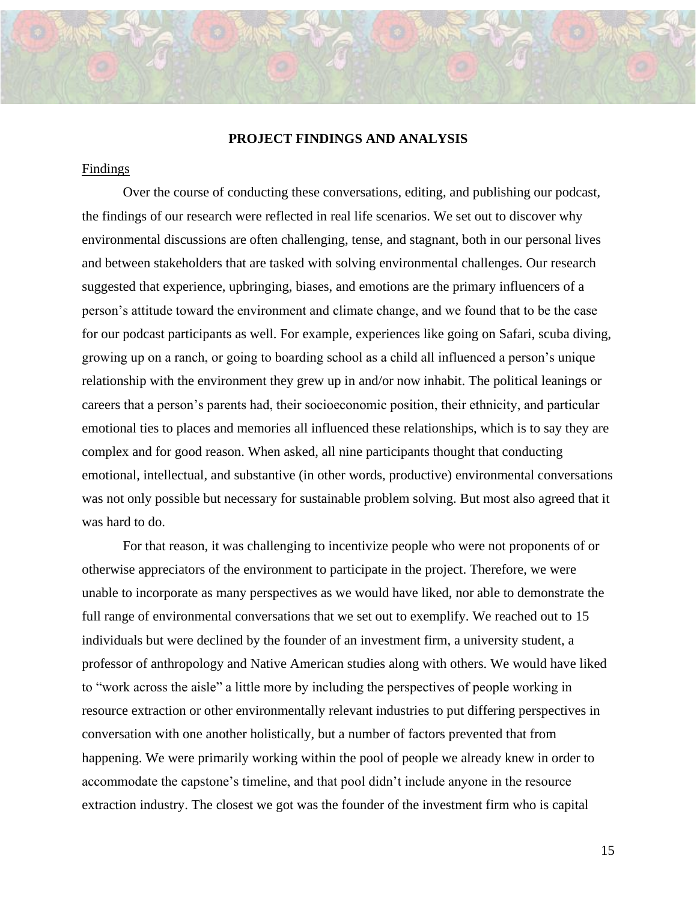#### **PROJECT FINDINGS AND ANALYSIS**

#### Findings

Over the course of conducting these conversations, editing, and publishing our podcast, the findings of our research were reflected in real life scenarios. We set out to discover why environmental discussions are often challenging, tense, and stagnant, both in our personal lives and between stakeholders that are tasked with solving environmental challenges. Our research suggested that experience, upbringing, biases, and emotions are the primary influencers of a person's attitude toward the environment and climate change, and we found that to be the case for our podcast participants as well. For example, experiences like going on Safari, scuba diving, growing up on a ranch, or going to boarding school as a child all influenced a person's unique relationship with the environment they grew up in and/or now inhabit. The political leanings or careers that a person's parents had, their socioeconomic position, their ethnicity, and particular emotional ties to places and memories all influenced these relationships, which is to say they are complex and for good reason. When asked, all nine participants thought that conducting emotional, intellectual, and substantive (in other words, productive) environmental conversations was not only possible but necessary for sustainable problem solving. But most also agreed that it was hard to do.

For that reason, it was challenging to incentivize people who were not proponents of or otherwise appreciators of the environment to participate in the project. Therefore, we were unable to incorporate as many perspectives as we would have liked, nor able to demonstrate the full range of environmental conversations that we set out to exemplify. We reached out to 15 individuals but were declined by the founder of an investment firm, a university student, a professor of anthropology and Native American studies along with others. We would have liked to "work across the aisle" a little more by including the perspectives of people working in resource extraction or other environmentally relevant industries to put differing perspectives in conversation with one another holistically, but a number of factors prevented that from happening. We were primarily working within the pool of people we already knew in order to accommodate the capstone's timeline, and that pool didn't include anyone in the resource extraction industry. The closest we got was the founder of the investment firm who is capital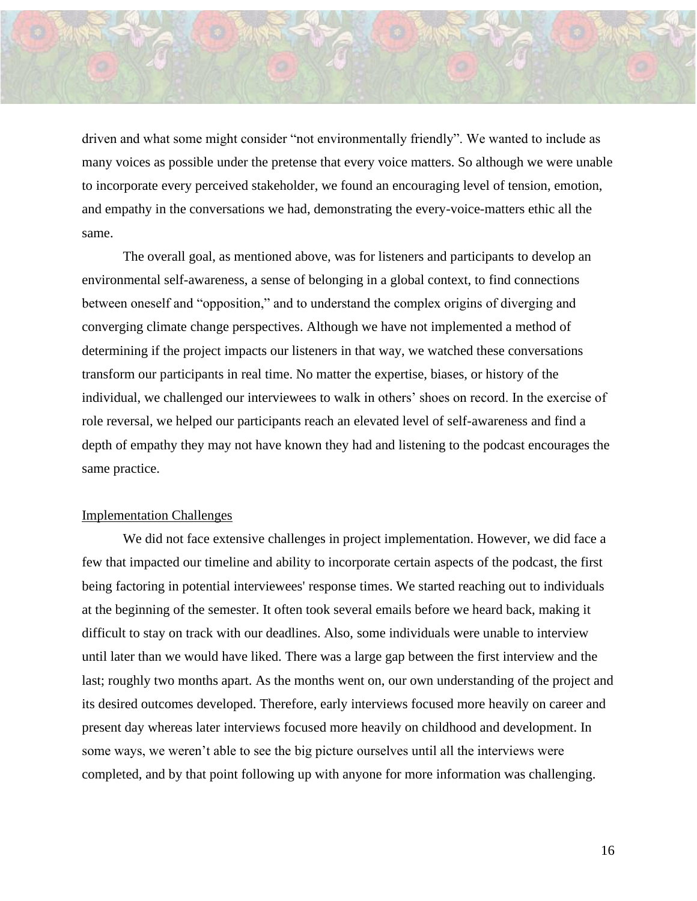driven and what some might consider "not environmentally friendly". We wanted to include as many voices as possible under the pretense that every voice matters. So although we were unable to incorporate every perceived stakeholder, we found an encouraging level of tension, emotion, and empathy in the conversations we had, demonstrating the every-voice-matters ethic all the same.

The overall goal, as mentioned above, was for listeners and participants to develop an environmental self-awareness, a sense of belonging in a global context, to find connections between oneself and "opposition," and to understand the complex origins of diverging and converging climate change perspectives. Although we have not implemented a method of determining if the project impacts our listeners in that way, we watched these conversations transform our participants in real time. No matter the expertise, biases, or history of the individual, we challenged our interviewees to walk in others' shoes on record. In the exercise of role reversal, we helped our participants reach an elevated level of self-awareness and find a depth of empathy they may not have known they had and listening to the podcast encourages the same practice.

#### Implementation Challenges

We did not face extensive challenges in project implementation. However, we did face a few that impacted our timeline and ability to incorporate certain aspects of the podcast, the first being factoring in potential interviewees' response times. We started reaching out to individuals at the beginning of the semester. It often took several emails before we heard back, making it difficult to stay on track with our deadlines. Also, some individuals were unable to interview until later than we would have liked. There was a large gap between the first interview and the last; roughly two months apart. As the months went on, our own understanding of the project and its desired outcomes developed. Therefore, early interviews focused more heavily on career and present day whereas later interviews focused more heavily on childhood and development. In some ways, we weren't able to see the big picture ourselves until all the interviews were completed, and by that point following up with anyone for more information was challenging.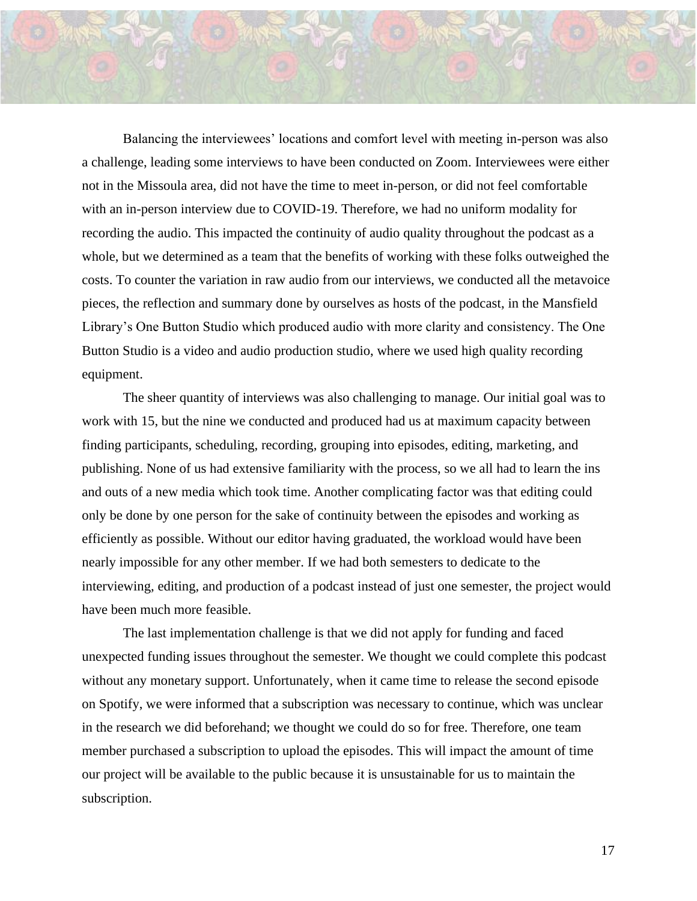Balancing the interviewees' locations and comfort level with meeting in-person was also a challenge, leading some interviews to have been conducted on Zoom. Interviewees were either not in the Missoula area, did not have the time to meet in-person, or did not feel comfortable with an in-person interview due to COVID-19. Therefore, we had no uniform modality for recording the audio. This impacted the continuity of audio quality throughout the podcast as a whole, but we determined as a team that the benefits of working with these folks outweighed the costs. To counter the variation in raw audio from our interviews, we conducted all the metavoice pieces, the reflection and summary done by ourselves as hosts of the podcast, in the Mansfield Library's One Button Studio which produced audio with more clarity and consistency. The One Button Studio is a video and audio production studio, where we used high quality recording equipment.

The sheer quantity of interviews was also challenging to manage. Our initial goal was to work with 15, but the nine we conducted and produced had us at maximum capacity between finding participants, scheduling, recording, grouping into episodes, editing, marketing, and publishing. None of us had extensive familiarity with the process, so we all had to learn the ins and outs of a new media which took time. Another complicating factor was that editing could only be done by one person for the sake of continuity between the episodes and working as efficiently as possible. Without our editor having graduated, the workload would have been nearly impossible for any other member. If we had both semesters to dedicate to the interviewing, editing, and production of a podcast instead of just one semester, the project would have been much more feasible.

The last implementation challenge is that we did not apply for funding and faced unexpected funding issues throughout the semester. We thought we could complete this podcast without any monetary support. Unfortunately, when it came time to release the second episode on Spotify, we were informed that a subscription was necessary to continue, which was unclear in the research we did beforehand; we thought we could do so for free. Therefore, one team member purchased a subscription to upload the episodes. This will impact the amount of time our project will be available to the public because it is unsustainable for us to maintain the subscription.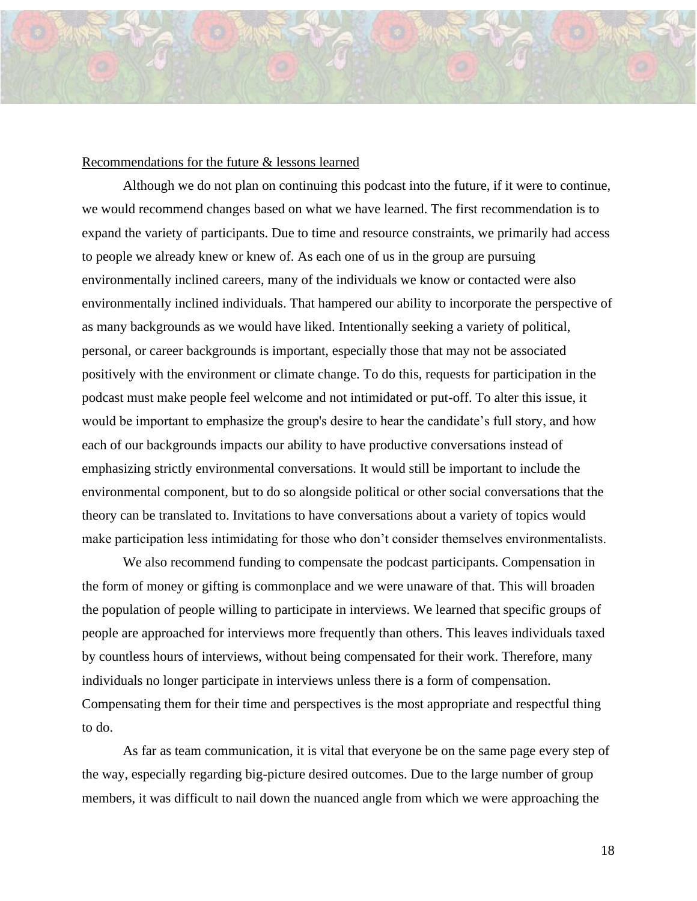#### Recommendations for the future & lessons learned

Although we do not plan on continuing this podcast into the future, if it were to continue, we would recommend changes based on what we have learned. The first recommendation is to expand the variety of participants. Due to time and resource constraints, we primarily had access to people we already knew or knew of. As each one of us in the group are pursuing environmentally inclined careers, many of the individuals we know or contacted were also environmentally inclined individuals. That hampered our ability to incorporate the perspective of as many backgrounds as we would have liked. Intentionally seeking a variety of political, personal, or career backgrounds is important, especially those that may not be associated positively with the environment or climate change. To do this, requests for participation in the podcast must make people feel welcome and not intimidated or put-off. To alter this issue, it would be important to emphasize the group's desire to hear the candidate's full story, and how each of our backgrounds impacts our ability to have productive conversations instead of emphasizing strictly environmental conversations. It would still be important to include the environmental component, but to do so alongside political or other social conversations that the theory can be translated to. Invitations to have conversations about a variety of topics would make participation less intimidating for those who don't consider themselves environmentalists.

We also recommend funding to compensate the podcast participants. Compensation in the form of money or gifting is commonplace and we were unaware of that. This will broaden the population of people willing to participate in interviews. We learned that specific groups of people are approached for interviews more frequently than others. This leaves individuals taxed by countless hours of interviews, without being compensated for their work. Therefore, many individuals no longer participate in interviews unless there is a form of compensation. Compensating them for their time and perspectives is the most appropriate and respectful thing to do.

As far as team communication, it is vital that everyone be on the same page every step of the way, especially regarding big-picture desired outcomes. Due to the large number of group members, it was difficult to nail down the nuanced angle from which we were approaching the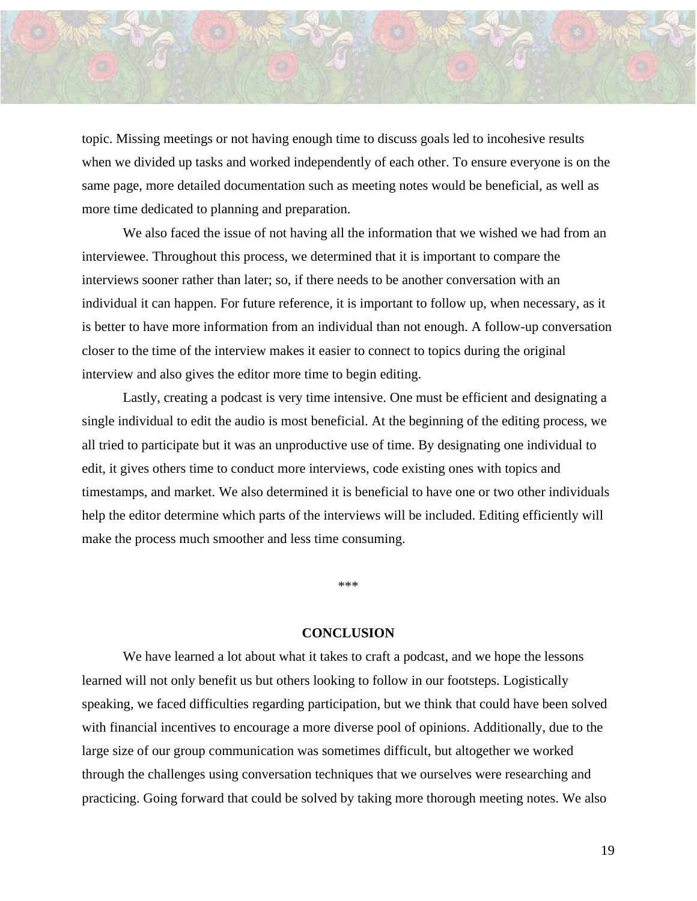

topic. Missing meetings or not having enough time to discuss goals led to incohesive results when we divided up tasks and worked independently of each other. To ensure everyone is on the same page, more detailed documentation such as meeting notes would be beneficial, as well as more time dedicated to planning and preparation.

We also faced the issue of not having all the information that we wished we had from an interviewee. Throughout this process, we determined that it is important to compare the interviews sooner rather than later; so, if there needs to be another conversation with an individual it can happen. For future reference, it is important to follow up, when necessary, as it is better to have more information from an individual than not enough. A follow-up conversation closer to the time of the interview makes it easier to connect to topics during the original interview and also gives the editor more time to begin editing.

Lastly, creating a podcast is very time intensive. One must be efficient and designating a single individual to edit the audio is most beneficial. At the beginning of the editing process, we all tried to participate but it was an unproductive use of time. By designating one individual to edit, it gives others time to conduct more interviews, code existing ones with topics and timestamps, and market. We also determined it is beneficial to have one or two other individuals help the editor determine which parts of the interviews will be included. Editing efficiently will make the process much smoother and less time consuming.

\*\*\*

#### **CONCLUSION**

We have learned a lot about what it takes to craft a podcast, and we hope the lessons learned will not only benefit us but others looking to follow in our footsteps. Logistically speaking, we faced difficulties regarding participation, but we think that could have been solved with financial incentives to encourage a more diverse pool of opinions. Additionally, due to the large size of our group communication was sometimes difficult, but altogether we worked through the challenges using conversation techniques that we ourselves were researching and practicing. Going forward that could be solved by taking more thorough meeting notes. We also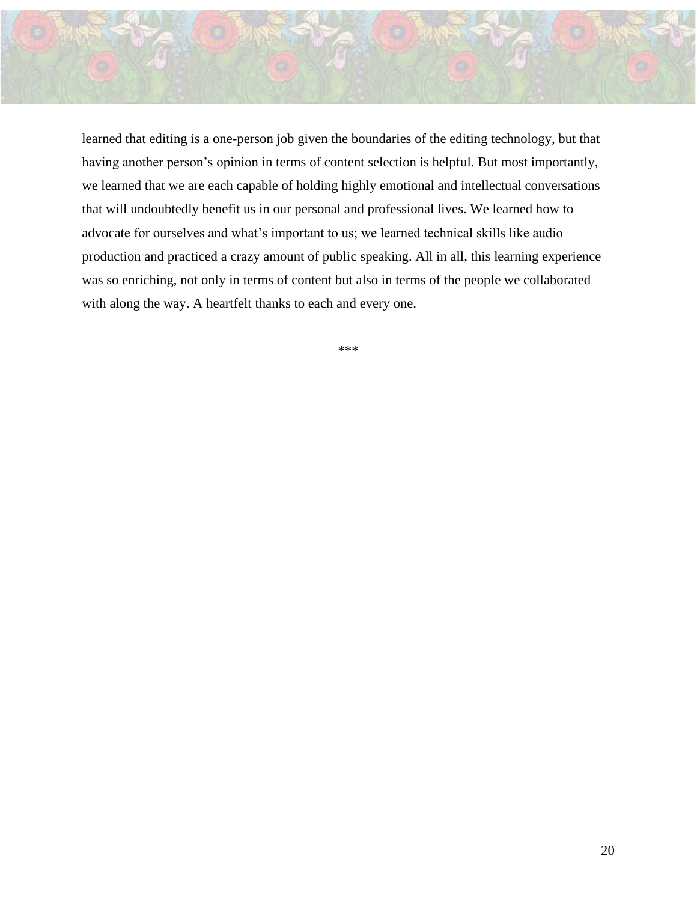

learned that editing is a one-person job given the boundaries of the editing technology, but that having another person's opinion in terms of content selection is helpful. But most importantly, we learned that we are each capable of holding highly emotional and intellectual conversations that will undoubtedly benefit us in our personal and professional lives. We learned how to advocate for ourselves and what's important to us; we learned technical skills like audio production and practiced a crazy amount of public speaking. All in all, this learning experience was so enriching, not only in terms of content but also in terms of the people we collaborated with along the way. A heartfelt thanks to each and every one.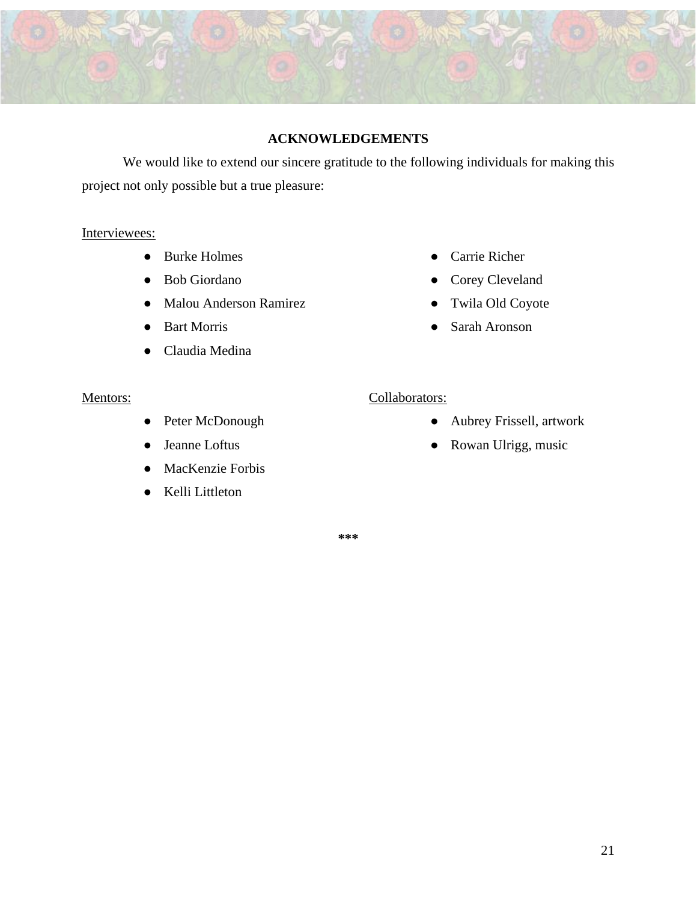

# **ACKNOWLEDGEMENTS**

We would like to extend our sincere gratitude to the following individuals for making this project not only possible but a true pleasure:

# Interviewees:

- Burke Holmes
- Bob Giordano
- Malou Anderson Ramirez
- Bart Morris
- Claudia Medina

### Mentors:

- Peter McDonough
- Jeanne Loftus
- MacKenzie Forbis
- Kelli Littleton
- Carrie Richer
- Corey Cleveland
- Twila Old Coyote
- Sarah Aronson

### Collaborators:

- Aubrey Frissell, artwork
- Rowan Ulrigg, music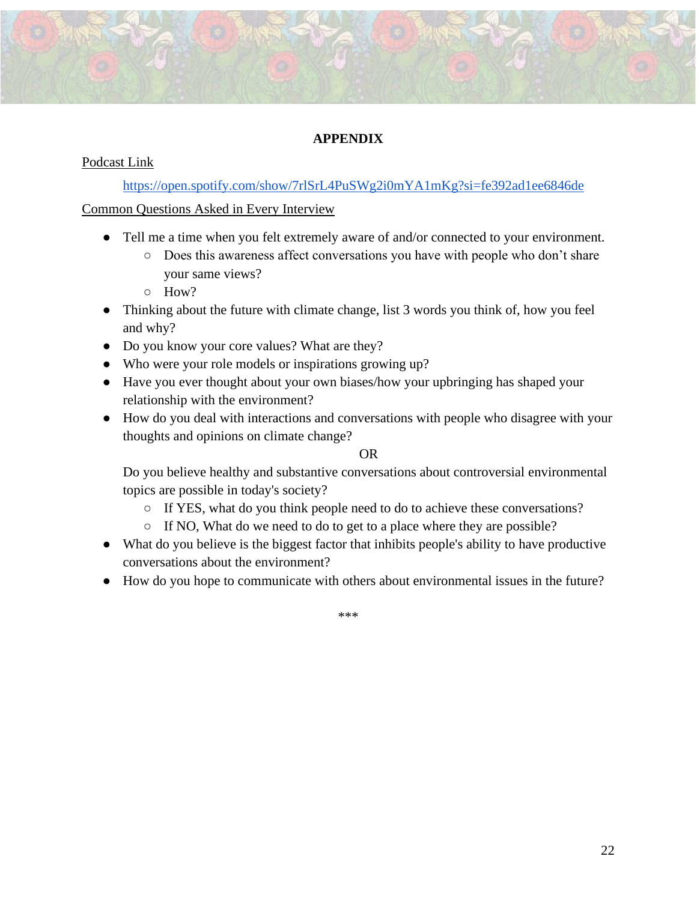# **APPENDIX**

# Podcast Link

<https://open.spotify.com/show/7rlSrL4PuSWg2i0mYA1mKg?si=fe392ad1ee6846de>

Common Questions Asked in Every Interview

- Tell me a time when you felt extremely aware of and/or connected to your environment.
	- Does this awareness affect conversations you have with people who don't share your same views?
	- $O$  How?
- Thinking about the future with climate change, list 3 words you think of, how you feel and why?
- Do you know your core values? What are they?
- Who were your role models or inspirations growing up?
- Have you ever thought about your own biases/how your upbringing has shaped your relationship with the environment?
- How do you deal with interactions and conversations with people who disagree with your thoughts and opinions on climate change?

# OR

Do you believe healthy and substantive conversations about controversial environmental topics are possible in today's society?

- If YES, what do you think people need to do to achieve these conversations?
- If NO, What do we need to do to get to a place where they are possible?
- What do you believe is the biggest factor that inhibits people's ability to have productive conversations about the environment?
- How do you hope to communicate with others about environmental issues in the future?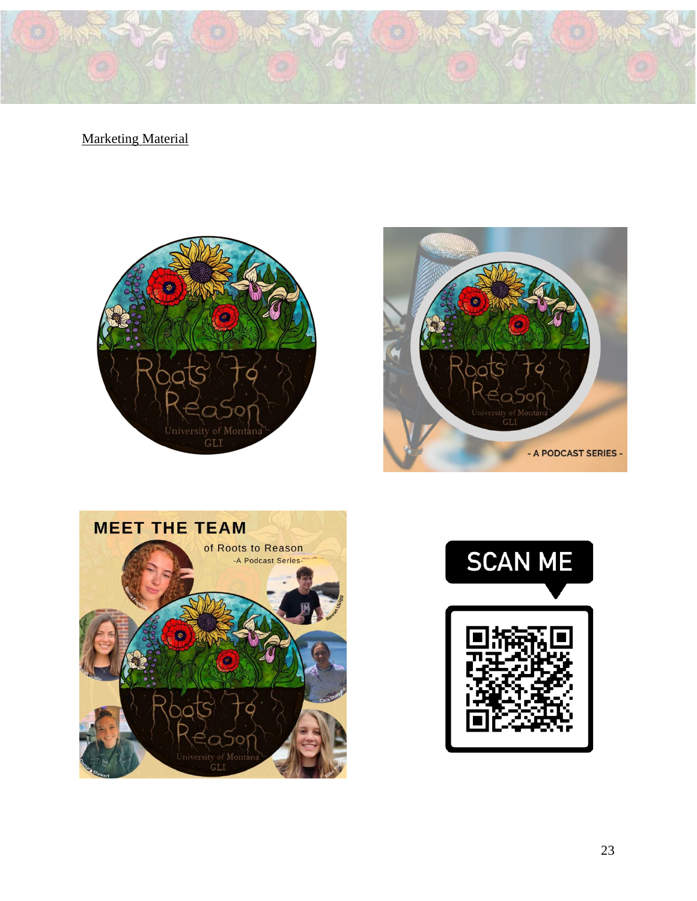**Marketing Material** 







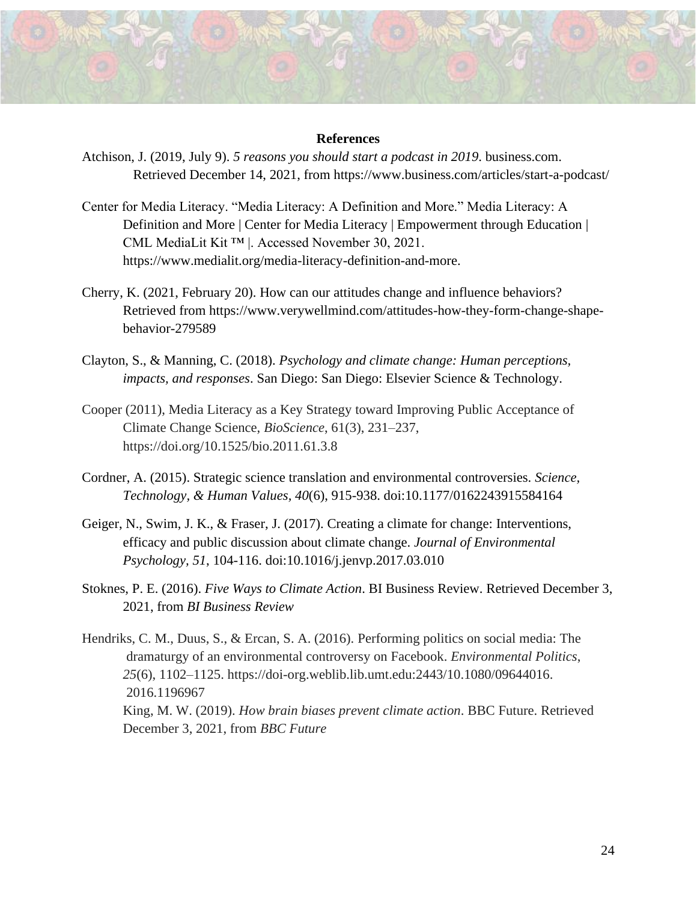#### **References**

- Atchison, J. (2019, July 9). *5 reasons you should start a podcast in 2019*. business.com. Retrieved December 14, 2021, from https://www.business.com/articles/start-a-podcast/
- Center for Media Literacy. "Media Literacy: A Definition and More." Media Literacy: A Definition and More | Center for Media Literacy | Empowerment through Education | CML MediaLit Kit ™ |. Accessed November 30, 2021. https://www.medialit.org/media-literacy-definition-and-more.
- Cherry, K. (2021, February 20). How can our attitudes change and influence behaviors? Retrieved from [https://www.verywellmind.com/attitudes-how-they-form-change-shape](https://www.verywellmind.com/attitudes-how-they-form-change-shape-)behavior-279589
- Clayton, S., & Manning, C. (2018). *Psychology and climate change: Human perceptions, impacts, and responses*. San Diego: San Diego: Elsevier Science & Technology.
- Cooper (2011), Media Literacy as a Key Strategy toward Improving Public Acceptance of Climate Change Science, *BioScience*, 61(3), 231–237, <https://doi.org/10.1525/bio.2011.61.3.8>
- Cordner, A. (2015). Strategic science translation and environmental controversies. *Science, Technology, & Human Values, 40*(6), 915-938. doi:10.1177/0162243915584164
- Geiger, N., Swim, J. K., & Fraser, J. (2017). Creating a climate for change: Interventions, efficacy and public discussion about climate change. *Journal of Environmental Psychology, 51*, 104-116. doi:10.1016/j.jenvp.2017.03.010
- Stoknes, P. E. (2016). *Five Ways to Climate Action*. BI Business Review. Retrieved December 3, 2021, from *BI Business Review*

Hendriks, C. M., Duus, S., & Ercan, S. A. (2016). Performing politics on social media: The dramaturgy of an environmental controversy on Facebook. *Environmental Politics*, *25*(6), 1102–1125. [https://doi-org.weblib.lib.umt.edu:2443/10.1080/09644016.](https://doi-org.weblib.lib.umt.edu:2443/10.1080/09644016.2016.1196967)  [2016.1196967](https://doi-org.weblib.lib.umt.edu:2443/10.1080/09644016.2016.1196967) King, M. W. (2019). *How brain biases prevent climate action*. BBC Future. Retrieved December 3, 2021, from *BBC Future*